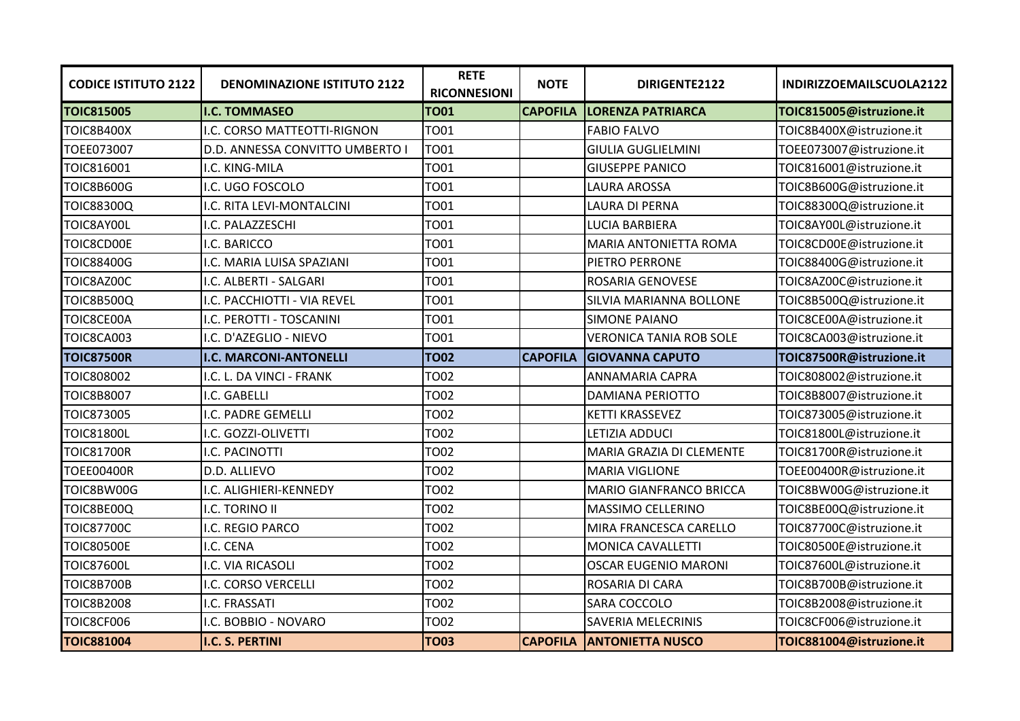| <b>CODICE ISTITUTO 2122</b> | <b>DENOMINAZIONE ISTITUTO 2122</b> | <b>RETE</b><br><b>RICONNESIONI</b> | <b>NOTE</b>     | DIRIGENTE2122                  | INDIRIZZOEMAILSCUOLA2122 |
|-----------------------------|------------------------------------|------------------------------------|-----------------|--------------------------------|--------------------------|
| <b>TOIC815005</b>           | <b>I.C. TOMMASEO</b>               | <b>TO01</b>                        | <b>CAPOFILA</b> | <b>LORENZA PATRIARCA</b>       | TOIC815005@istruzione.it |
| <b>TOIC8B400X</b>           | I.C. CORSO MATTEOTTI-RIGNON        | <b>TO01</b>                        |                 | <b>FABIO FALVO</b>             | TOIC8B400X@istruzione.it |
| TOEE073007                  | D.D. ANNESSA CONVITTO UMBERTO I    | <b>TO01</b>                        |                 | <b>GIULIA GUGLIELMINI</b>      | TOEE073007@istruzione.it |
| <b>TOIC816001</b>           | I.C. KING-MILA                     | <b>TO01</b>                        |                 | <b>GIUSEPPE PANICO</b>         | TOIC816001@istruzione.it |
| <b>TOIC8B600G</b>           | I.C. UGO FOSCOLO                   | <b>TO01</b>                        |                 | LAURA AROSSA                   | TOIC8B600G@istruzione.it |
| <b>TOIC88300Q</b>           | I.C. RITA LEVI-MONTALCINI          | <b>TO01</b>                        |                 | LAURA DI PERNA                 | TOIC88300Q@istruzione.it |
| TOIC8AY00L                  | I.C. PALAZZESCHI                   | <b>TO01</b>                        |                 | LUCIA BARBIERA                 | TOIC8AY00L@istruzione.it |
| TOIC8CD00E                  | I.C. BARICCO                       | <b>TO01</b>                        |                 | <b>MARIA ANTONIETTA ROMA</b>   | TOIC8CD00E@istruzione.it |
| <b>TOIC88400G</b>           | I.C. MARIA LUISA SPAZIANI          | <b>TO01</b>                        |                 | PIETRO PERRONE                 | TOIC88400G@istruzione.it |
| TOIC8AZ00C                  | I.C. ALBERTI - SALGARI             | <b>TO01</b>                        |                 | ROSARIA GENOVESE               | TOIC8AZ00C@istruzione.it |
| <b>TOIC8B500Q</b>           | I.C. PACCHIOTTI - VIA REVEL        | <b>TO01</b>                        |                 | SILVIA MARIANNA BOLLONE        | TOIC8B500Q@istruzione.it |
| TOIC8CE00A                  | I.C. PEROTTI - TOSCANINI           | <b>TO01</b>                        |                 | <b>SIMONE PAIANO</b>           | TOIC8CE00A@istruzione.it |
| <b>TOIC8CA003</b>           | I.C. D'AZEGLIO - NIEVO             | <b>TO01</b>                        |                 | <b>VERONICA TANIA ROB SOLE</b> | TOIC8CA003@istruzione.it |
| <b>TOIC87500R</b>           | <b>I.C. MARCONI-ANTONELLI</b>      | <b>TO02</b>                        | <b>CAPOFILA</b> | <b>GIOVANNA CAPUTO</b>         | TOIC87500R@istruzione.it |
| <b>TOIC808002</b>           | I.C. L. DA VINCI - FRANK           | <b>TO02</b>                        |                 | <b>ANNAMARIA CAPRA</b>         | TOIC808002@istruzione.it |
| <b>TOIC8B8007</b>           | I.C. GABELLI                       | <b>TO02</b>                        |                 | <b>DAMIANA PERIOTTO</b>        | TOIC8B8007@istruzione.it |
| <b>TOIC873005</b>           | I.C. PADRE GEMELLI                 | <b>TO02</b>                        |                 | <b>KETTI KRASSEVEZ</b>         | TOIC873005@istruzione.it |
| <b>TOIC81800L</b>           | I.C. GOZZI-OLIVETTI                | <b>TO02</b>                        |                 | LETIZIA ADDUCI                 | TOIC81800L@istruzione.it |
| <b>TOIC81700R</b>           | I.C. PACINOTTI                     | <b>TO02</b>                        |                 | MARIA GRAZIA DI CLEMENTE       | TOIC81700R@istruzione.it |
| <b>TOEE00400R</b>           | D.D. ALLIEVO                       | <b>TO02</b>                        |                 | <b>MARIA VIGLIONE</b>          | TOEE00400R@istruzione.it |
| TOIC8BW00G                  | I.C. ALIGHIERI-KENNEDY             | <b>TO02</b>                        |                 | <b>MARIO GIANFRANCO BRICCA</b> | TOIC8BW00G@istruzione.it |
| TOIC8BE00Q                  | I.C. TORINO II                     | <b>TO02</b>                        |                 | MASSIMO CELLERINO              | TOIC8BE00Q@istruzione.it |
| <b>TOIC87700C</b>           | I.C. REGIO PARCO                   | <b>TO02</b>                        |                 | MIRA FRANCESCA CARELLO         | TOIC87700C@istruzione.it |
| <b>TOIC80500E</b>           | I.C. CENA                          | <b>TO02</b>                        |                 | <b>MONICA CAVALLETTI</b>       | TOIC80500E@istruzione.it |
| <b>TOIC87600L</b>           | I.C. VIA RICASOLI                  | <b>TO02</b>                        |                 | <b>OSCAR EUGENIO MARONI</b>    | TOIC87600L@istruzione.it |
| <b>TOIC8B700B</b>           | I.C. CORSO VERCELLI                | <b>TO02</b>                        |                 | ROSARIA DI CARA                | TOIC8B700B@istruzione.it |
| <b>TOIC8B2008</b>           | I.C. FRASSATI                      | <b>TO02</b>                        |                 | SARA COCCOLO                   | TOIC8B2008@istruzione.it |
| TOIC8CF006                  | I.C. BOBBIO - NOVARO               | <b>TO02</b>                        |                 | SAVERIA MELECRINIS             | TOIC8CF006@istruzione.it |
| <b>TOIC881004</b>           | <b>I.C. S. PERTINI</b>             | <b>TO03</b>                        | <b>CAPOFILA</b> | <b>ANTONIETTA NUSCO</b>        | TOIC881004@istruzione.it |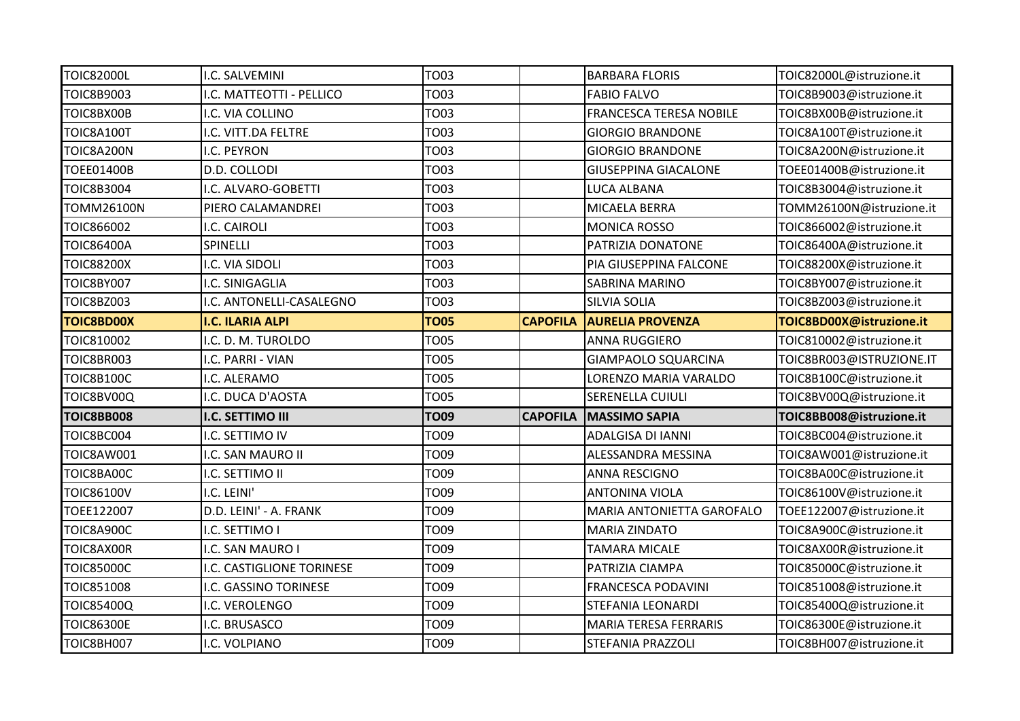| <b>TOIC82000L</b> | I.C. SALVEMINI            | <b>TO03</b> |                 | <b>BARBARA FLORIS</b>          | TOIC82000L@istruzione.it |
|-------------------|---------------------------|-------------|-----------------|--------------------------------|--------------------------|
| TOIC8B9003        | I.C. MATTEOTTI - PELLICO  | <b>TO03</b> |                 | <b>FABIO FALVO</b>             | TOIC8B9003@istruzione.it |
| TOIC8BX00B        | I.C. VIA COLLINO          | <b>TO03</b> |                 | <b>FRANCESCA TERESA NOBILE</b> | TOIC8BX00B@istruzione.it |
| TOIC8A100T        | I.C. VITT.DA FELTRE       | <b>TO03</b> |                 | <b>GIORGIO BRANDONE</b>        | TOIC8A100T@istruzione.it |
| TOIC8A200N        | I.C. PEYRON               | <b>TO03</b> |                 | <b>GIORGIO BRANDONE</b>        | TOIC8A200N@istruzione.it |
| TOEE01400B        | D.D. COLLODI              | TO03        |                 | <b>GIUSEPPINA GIACALONE</b>    | TOEE01400B@istruzione.it |
| TOIC8B3004        | I.C. ALVARO-GOBETTI       | <b>TO03</b> |                 | LUCA ALBANA                    | TOIC8B3004@istruzione.it |
| TOMM26100N        | PIERO CALAMANDREI         | <b>TO03</b> |                 | MICAELA BERRA                  | TOMM26100N@istruzione.it |
| TOIC866002        | I.C. CAIROLI              | <b>TO03</b> |                 | <b>MONICA ROSSO</b>            | TOIC866002@istruzione.it |
| <b>TOIC86400A</b> | SPINELLI                  | <b>TO03</b> |                 | PATRIZIA DONATONE              | TOIC86400A@istruzione.it |
| TOIC88200X        | I.C. VIA SIDOLI           | <b>TO03</b> |                 | PIA GIUSEPPINA FALCONE         | TOIC88200X@istruzione.it |
| <b>TOIC8BY007</b> | I.C. SINIGAGLIA           | <b>TO03</b> |                 | <b>SABRINA MARINO</b>          | TOIC8BY007@istruzione.it |
| TOIC8BZ003        | I.C. ANTONELLI-CASALEGNO  | TO03        |                 | <b>SILVIA SOLIA</b>            | TOIC8BZ003@istruzione.it |
| <b>TOIC8BD00X</b> | <b>I.C. ILARIA ALPI</b>   | <b>TO05</b> | <b>CAPOFILA</b> | <b>AURELIA PROVENZA</b>        | TOIC8BD00X@istruzione.it |
| TOIC810002        | I.C. D. M. TUROLDO        | <b>TO05</b> |                 | <b>ANNA RUGGIERO</b>           | TOIC810002@istruzione.it |
| TOIC8BR003        | I.C. PARRI - VIAN         | <b>TO05</b> |                 | <b>GIAMPAOLO SQUARCINA</b>     | TOIC8BR003@ISTRUZIONE.IT |
| <b>TOIC8B100C</b> | I.C. ALERAMO              | <b>TO05</b> |                 | LORENZO MARIA VARALDO          | TOIC8B100C@istruzione.it |
| TOIC8BV00Q        | I.C. DUCA D'AOSTA         | <b>TO05</b> |                 | SERENELLA CUIULI               | TOIC8BV00Q@istruzione.it |
| TOIC8BB008        | I.C. SETTIMO III          | <b>TO09</b> | <b>CAPOFILA</b> | <b>MASSIMO SAPIA</b>           | TOIC8BB008@istruzione.it |
| TOIC8BC004        | I.C. SETTIMO IV           | <b>TO09</b> |                 | ADALGISA DI IANNI              | TOIC8BC004@istruzione.it |
| TOIC8AW001        | I.C. SAN MAURO II         | <b>TO09</b> |                 | ALESSANDRA MESSINA             | TOIC8AW001@istruzione.it |
| TOIC8BA00C        | I.C. SETTIMO II           | <b>TO09</b> |                 | <b>ANNA RESCIGNO</b>           | TOIC8BA00C@istruzione.it |
| TOIC86100V        | I.C. LEINI'               | TO09        |                 | <b>ANTONINA VIOLA</b>          | TOIC86100V@istruzione.it |
| TOEE122007        | D.D. LEINI' - A. FRANK    | TO09        |                 | MARIA ANTONIETTA GAROFALO      | TOEE122007@istruzione.it |
| TOIC8A900C        | I.C. SETTIMO I            | TO09        |                 | <b>MARIA ZINDATO</b>           | TOIC8A900C@istruzione.it |
| TOIC8AX00R        | I.C. SAN MAURO I          | TO09        |                 | <b>TAMARA MICALE</b>           | TOIC8AX00R@istruzione.it |
| <b>TOIC85000C</b> | I.C. CASTIGLIONE TORINESE | <b>TO09</b> |                 | PATRIZIA CIAMPA                | TOIC85000C@istruzione.it |
| TOIC851008        | I.C. GASSINO TORINESE     | <b>TO09</b> |                 | <b>FRANCESCA PODAVINI</b>      | TOIC851008@istruzione.it |
| TOIC85400Q        |                           | TO09        |                 | <b>STEFANIA LEONARDI</b>       | TOIC85400Q@istruzione.it |
|                   | I.C. VEROLENGO            |             |                 |                                |                          |
| <b>TOIC86300E</b> | I.C. BRUSASCO             | TO09        |                 | <b>MARIA TERESA FERRARIS</b>   | TOIC86300E@istruzione.it |